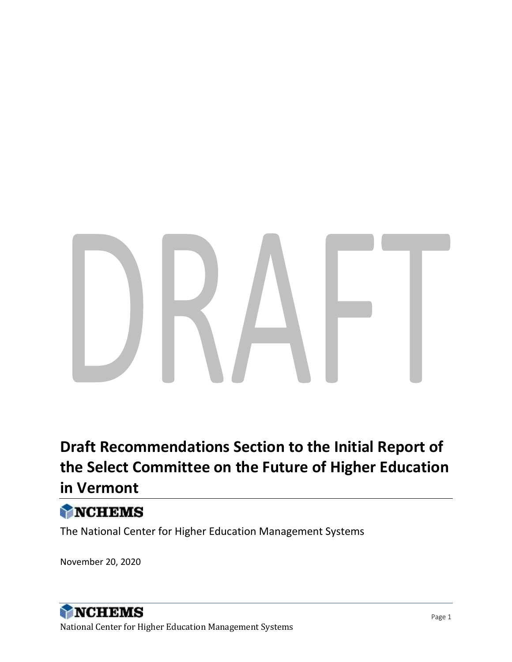# **Draft Recommendations Section to the Initial Report of the Select Committee on the Future of Higher Education in Vermont**

# NCHEMS

The National Center for Higher Education Management Systems

November 20, 2020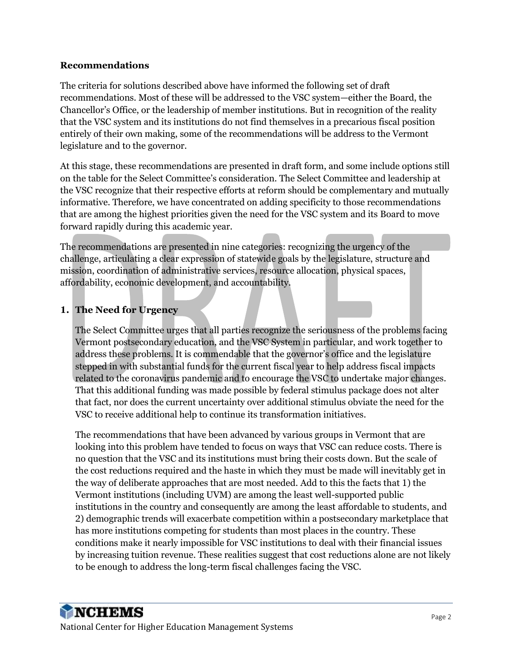#### **Recommendations**

The criteria for solutions described above have informed the following set of draft recommendations. Most of these will be addressed to the VSC system—either the Board, the Chancellor's Office, or the leadership of member institutions. But in recognition of the reality that the VSC system and its institutions do not find themselves in a precarious fiscal position entirely of their own making, some of the recommendations will be address to the Vermont legislature and to the governor.

At this stage, these recommendations are presented in draft form, and some include options still on the table for the Select Committee's consideration. The Select Committee and leadership at the VSC recognize that their respective efforts at reform should be complementary and mutually informative. Therefore, we have concentrated on adding specificity to those recommendations that are among the highest priorities given the need for the VSC system and its Board to move forward rapidly during this academic year.

The recommendations are presented in nine categories: recognizing the urgency of the challenge, articulating a clear expression of statewide goals by the legislature, structure and mission, coordination of administrative services, resource allocation, physical spaces, affordability, economic development, and accountability.

#### **1. The Need for Urgency**

The Select Committee urges that all parties recognize the seriousness of the problems facing Vermont postsecondary education, and the VSC System in particular, and work together to address these problems. It is commendable that the governor's office and the legislature stepped in with substantial funds for the current fiscal year to help address fiscal impacts related to the coronavirus pandemic and to encourage the VSC to undertake major changes. That this additional funding was made possible by federal stimulus package does not alter that fact, nor does the current uncertainty over additional stimulus obviate the need for the VSC to receive additional help to continue its transformation initiatives.

The recommendations that have been advanced by various groups in Vermont that are looking into this problem have tended to focus on ways that VSC can reduce costs. There is no question that the VSC and its institutions must bring their costs down. But the scale of the cost reductions required and the haste in which they must be made will inevitably get in the way of deliberate approaches that are most needed. Add to this the facts that 1) the Vermont institutions (including UVM) are among the least well-supported public institutions in the country and consequently are among the least affordable to students, and 2) demographic trends will exacerbate competition within a postsecondary marketplace that has more institutions competing for students than most places in the country. These conditions make it nearly impossible for VSC institutions to deal with their financial issues by increasing tuition revenue. These realities suggest that cost reductions alone are not likely to be enough to address the long-term fiscal challenges facing the VSC.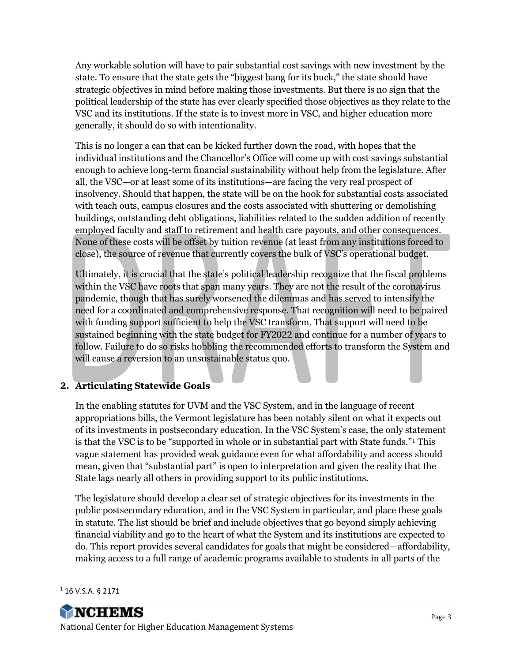Any workable solution will have to pair substantial cost savings with new investment by the state. To ensure that the state gets the "biggest bang for its buck," the state should have strategic objectives in mind before making those investments. But there is no sign that the political leadership of the state has ever clearly specified those objectives as they relate to the VSC and its institutions. If the state is to invest more in VSC, and higher education more generally, it should do so with intentionality.

This is no longer a can that can be kicked further down the road, with hopes that the individual institutions and the Chancellor's Office will come up with cost savings substantial enough to achieve long-term financial sustainability without help from the legislature. After all, the VSC—or at least some of its institutions—are facing the very real prospect of insolvency. Should that happen, the state will be on the hook for substantial costs associated with teach outs, campus closures and the costs associated with shuttering or demolishing buildings, outstanding debt obligations, liabilities related to the sudden addition of recently employed faculty and staff to retirement and health care payouts, and other consequences. None of these costs will be offset by tuition revenue (at least from any institutions forced to close), the source of revenue that currently covers the bulk of VSC's operational budget.

Ultimately, it is crucial that the state's political leadership recognize that the fiscal problems within the VSC have roots that span many years. They are not the result of the coronavirus pandemic, though that has surely worsened the dilemmas and has served to intensify the need for a coordinated and comprehensive response. That recognition will need to be paired with funding support sufficient to help the VSC transform. That support will need to be sustained beginning with the state budget for FY2022 and continue for a number of years to follow. Failure to do so risks hobbling the recommended efforts to transform the System and will cause a reversion to an unsustainable status quo.

### **2. Articulating Statewide Goals**

In the enabling statutes for UVM and the VSC System, and in the language of recent appropriations bills, the Vermont legislature has been notably silent on what it expects out of its investments in postsecondary education. In the VSC System's case, the only statement is that the VSC is to be "supported in whole or in substantial part with State funds."<sup>1</sup> This vague statement has provided weak guidance even for what affordability and access should mean, given that "substantial part" is open to interpretation and given the reality that the State lags nearly all others in providing support to its public institutions.

The legislature should develop a clear set of strategic objectives for its investments in the public postsecondary education, and in the VSC System in particular, and place these goals in statute. The list should be brief and include objectives that go beyond simply achieving financial viability and go to the heart of what the System and its institutions are expected to do. This report provides several candidates for goals that might be considered—affordability, making access to a full range of academic programs available to students in all parts of the

<sup>1</sup> 16 V.S.A. § 2171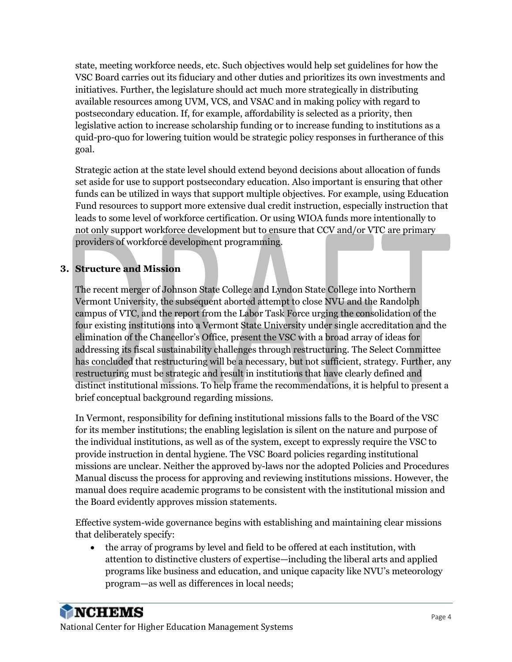state, meeting workforce needs, etc. Such objectives would help set guidelines for how the VSC Board carries out its fiduciary and other duties and prioritizes its own investments and initiatives. Further, the legislature should act much more strategically in distributing available resources among UVM, VCS, and VSAC and in making policy with regard to postsecondary education. If, for example, affordability is selected as a priority, then legislative action to increase scholarship funding or to increase funding to institutions as a quid-pro-quo for lowering tuition would be strategic policy responses in furtherance of this goal.

Strategic action at the state level should extend beyond decisions about allocation of funds set aside for use to support postsecondary education. Also important is ensuring that other funds can be utilized in ways that support multiple objectives. For example, using Education Fund resources to support more extensive dual credit instruction, especially instruction that leads to some level of workforce certification. Or using WIOA funds more intentionally to not only support workforce development but to ensure that CCV and/or VTC are primary providers of workforce development programming.

### **3. Structure and Mission**

The recent merger of Johnson State College and Lyndon State College into Northern Vermont University, the subsequent aborted attempt to close NVU and the Randolph campus of VTC, and the report from the Labor Task Force urging the consolidation of the four existing institutions into a Vermont State University under single accreditation and the elimination of the Chancellor's Office, present the VSC with a broad array of ideas for addressing its fiscal sustainability challenges through restructuring. The Select Committee has concluded that restructuring will be a necessary, but not sufficient, strategy. Further, any restructuring must be strategic and result in institutions that have clearly defined and distinct institutional missions. To help frame the recommendations, it is helpful to present a brief conceptual background regarding missions.

In Vermont, responsibility for defining institutional missions falls to the Board of the VSC for its member institutions; the enabling legislation is silent on the nature and purpose of the individual institutions, as well as of the system, except to expressly require the VSC to provide instruction in dental hygiene. The VSC Board policies regarding institutional missions are unclear. Neither the approved by-laws nor the adopted Policies and Procedures Manual discuss the process for approving and reviewing institutions missions. However, the manual does require academic programs to be consistent with the institutional mission and the Board evidently approves mission statements.

Effective system-wide governance begins with establishing and maintaining clear missions that deliberately specify:

• the array of programs by level and field to be offered at each institution, with attention to distinctive clusters of expertise—including the liberal arts and applied programs like business and education, and unique capacity like NVU's meteorology program—as well as differences in local needs;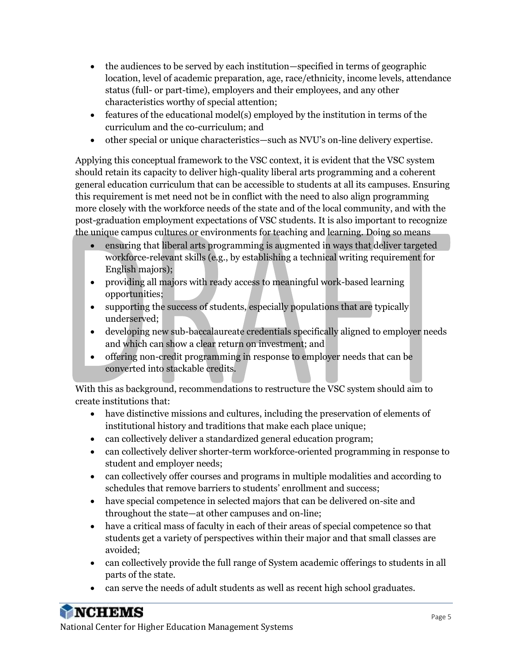- the audiences to be served by each institution—specified in terms of geographic location, level of academic preparation, age, race/ethnicity, income levels, attendance status (full- or part-time), employers and their employees, and any other characteristics worthy of special attention;
- features of the educational model(s) employed by the institution in terms of the curriculum and the co-curriculum; and
- other special or unique characteristics—such as NVU's on-line delivery expertise.

Applying this conceptual framework to the VSC context, it is evident that the VSC system should retain its capacity to deliver high-quality liberal arts programming and a coherent general education curriculum that can be accessible to students at all its campuses. Ensuring this requirement is met need not be in conflict with the need to also align programming more closely with the workforce needs of the state and of the local community, and with the post-graduation employment expectations of VSC students. It is also important to recognize the unique campus cultures or environments for teaching and learning. Doing so means

- ensuring that liberal arts programming is augmented in ways that deliver targeted workforce-relevant skills (e.g., by establishing a technical writing requirement for English majors);
- providing all majors with ready access to meaningful work-based learning opportunities;
- supporting the success of students, especially populations that are typically underserved;
- developing new sub-baccalaureate credentials specifically aligned to employer needs and which can show a clear return on investment; and
- offering non-credit programming in response to employer needs that can be converted into stackable credits.

With this as background, recommendations to restructure the VSC system should aim to create institutions that:

- have distinctive missions and cultures, including the preservation of elements of institutional history and traditions that make each place unique;
- can collectively deliver a standardized general education program;
- can collectively deliver shorter-term workforce-oriented programming in response to student and employer needs;
- can collectively offer courses and programs in multiple modalities and according to schedules that remove barriers to students' enrollment and success;
- have special competence in selected majors that can be delivered on-site and throughout the state—at other campuses and on-line;
- have a critical mass of faculty in each of their areas of special competence so that students get a variety of perspectives within their major and that small classes are avoided;
- can collectively provide the full range of System academic offerings to students in all parts of the state.
- can serve the needs of adult students as well as recent high school graduates.

**NCHEMS**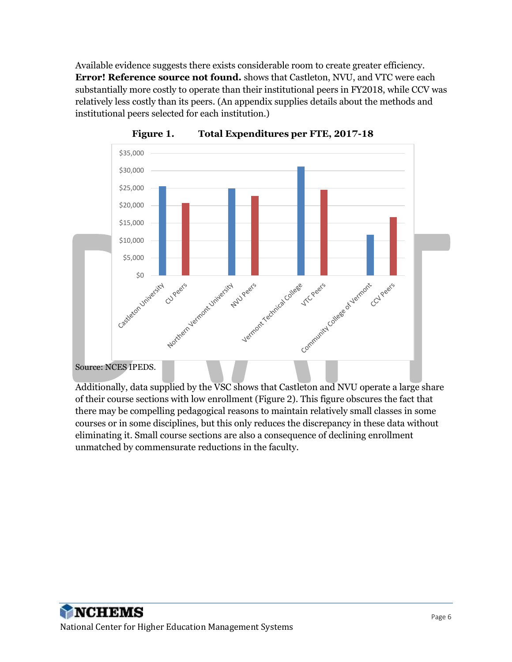Available evidence suggests there exists considerable room to create greater efficiency. **Error! Reference source not found.** shows that Castleton, NVU, and VTC were each substantially more costly to operate than their institutional peers in FY2018, while CCV was relatively less costly than its peers. (An appendix supplies details about the methods and institutional peers selected for each institution.)

<span id="page-5-0"></span>

**Figure 1. Total Expenditures per FTE, 2017-18**

Additionally, data supplied by the VSC shows that Castleton and NVU operate a large share of their course sections with low enrollment [\(Figure 2\)](#page-6-0). This figure obscures the fact that there may be compelling pedagogical reasons to maintain relatively small classes in some courses or in some disciplines, but this only reduces the discrepancy in these data without eliminating it. Small course sections are also a consequence of declining enrollment unmatched by commensurate reductions in the faculty.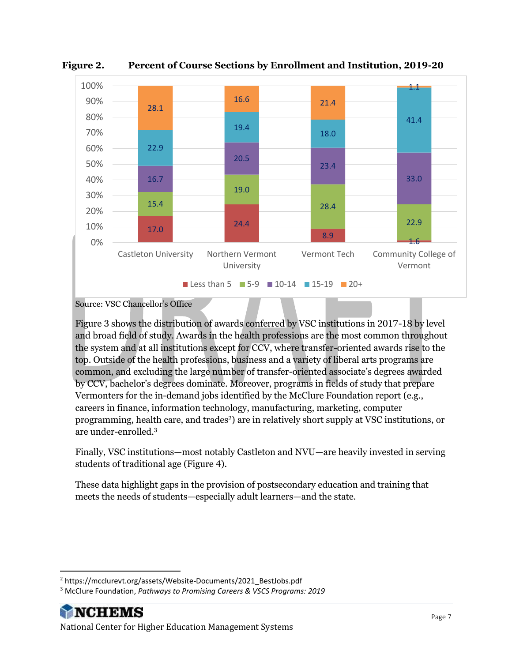

<span id="page-6-0"></span>**Figure 2. Percent of Course Sections by Enrollment and Institution, 2019-20**

[Figure 3](#page-7-0) shows the distribution of awards conferred by VSC institutions in 2017-18 by level and broad field of study. Awards in the health professions are the most common throughout the system and at all institutions except for CCV, where transfer-oriented awards rise to the top. Outside of the health professions, business and a variety of liberal arts programs are common, and excluding the large number of transfer-oriented associate's degrees awarded by CCV, bachelor's degrees dominate. Moreover, programs in fields of study that prepare Vermonters for the in-demand jobs identified by the McClure Foundation report (e.g., careers in finance, information technology, manufacturing, marketing, computer programming, health care, and trades2) are in relatively short supply at VSC institutions, or are under-enrolled. 3

Finally, VSC institutions—most notably Castleton and NVU—are heavily invested in serving students of traditional age [\(Figure 4\)](#page-8-0).

These data highlight gaps in the provision of postsecondary education and training that meets the needs of students—especially adult learners—and the state.

Source: VSC Chancellor's Office

<sup>&</sup>lt;sup>2</sup> https://mcclurevt.org/assets/Website-Documents/2021\_BestJobs.pdf

<sup>3</sup> McClure Foundation, *Pathways to Promising Careers & VSCS Programs: 2019*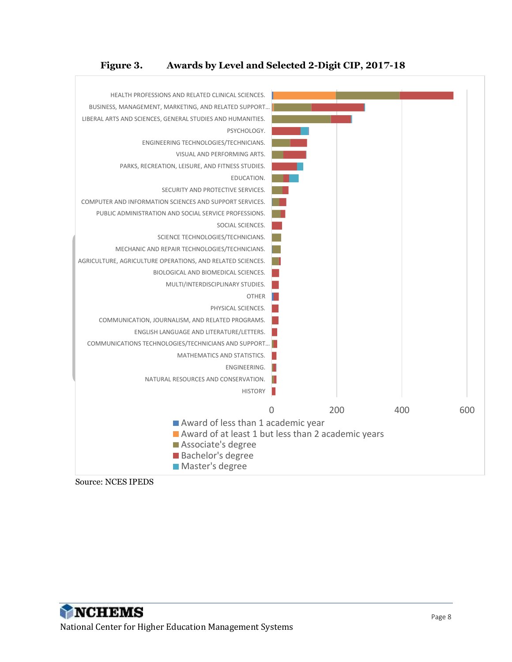#### **Figure 3. Awards by Level and Selected 2-Digit CIP, 2017-18**

<span id="page-7-0"></span>

Source: NCES IPEDS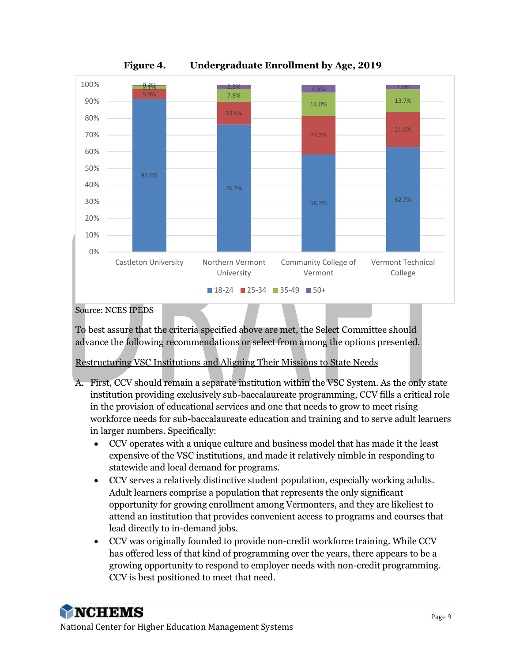<span id="page-8-0"></span>

**Figure 4. Undergraduate Enrollment by Age, 2019**

Source: NCES IPEDS

To best assure that the criteria specified above are met, the Select Committee should advance the following recommendations or select from among the options presented.

Restructuring VSC Institutions and Aligning Their Missions to State Needs

- A. First, CCV should remain a separate institution within the VSC System. As the only state institution providing exclusively sub-baccalaureate programming, CCV fills a critical role in the provision of educational services and one that needs to grow to meet rising workforce needs for sub-baccalaureate education and training and to serve adult learners in larger numbers. Specifically:
	- CCV operates with a unique culture and business model that has made it the least expensive of the VSC institutions, and made it relatively nimble in responding to statewide and local demand for programs.
	- CCV serves a relatively distinctive student population, especially working adults. Adult learners comprise a population that represents the only significant opportunity for growing enrollment among Vermonters, and they are likeliest to attend an institution that provides convenient access to programs and courses that lead directly to in-demand jobs.
	- CCV was originally founded to provide non-credit workforce training. While CCV has offered less of that kind of programming over the years, there appears to be a growing opportunity to respond to employer needs with non-credit programming. CCV is best positioned to meet that need.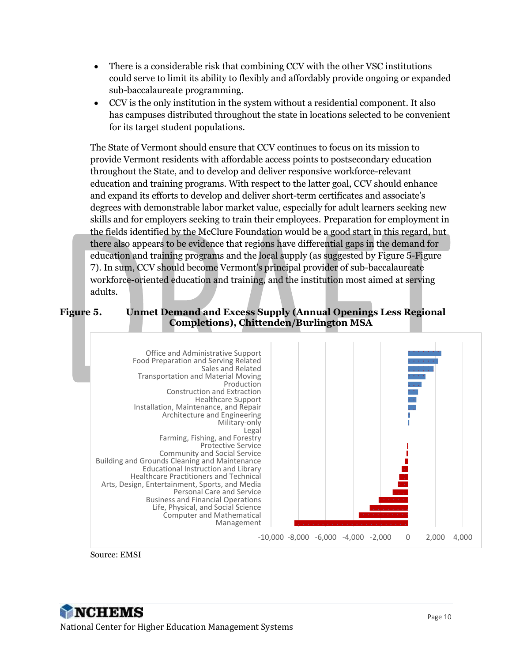- There is a considerable risk that combining CCV with the other VSC institutions could serve to limit its ability to flexibly and affordably provide ongoing or expanded sub-baccalaureate programming.
- CCV is the only institution in the system without a residential component. It also has campuses distributed throughout the state in locations selected to be convenient for its target student populations.

The State of Vermont should ensure that CCV continues to focus on its mission to provide Vermont residents with affordable access points to postsecondary education throughout the State, and to develop and deliver responsive workforce-relevant education and training programs. With respect to the latter goal, CCV should enhance and expand its efforts to develop and deliver short-term certificates and associate's degrees with demonstrable labor market value, especially for adult learners seeking new skills and for employers seeking to train their employees. Preparation for employment in the fields identified by the McClure Foundation would be a good start in this regard, but there also appears to be evidence that regions have differential gaps in the demand for education and training programs and the local supply (as suggested by [Figure 5](#page-9-0)[-Figure](#page-10-0)  [7\)](#page-10-0). In sum, CCV should become Vermont's principal provider of sub-baccalaureate workforce-oriented education and training, and the institution most aimed at serving adults.

#### <span id="page-9-0"></span>**Figure 5. Unmet Demand and Excess Supply (Annual Openings Less Regional Completions), Chittenden/Burlington MSA**



Source: EMSI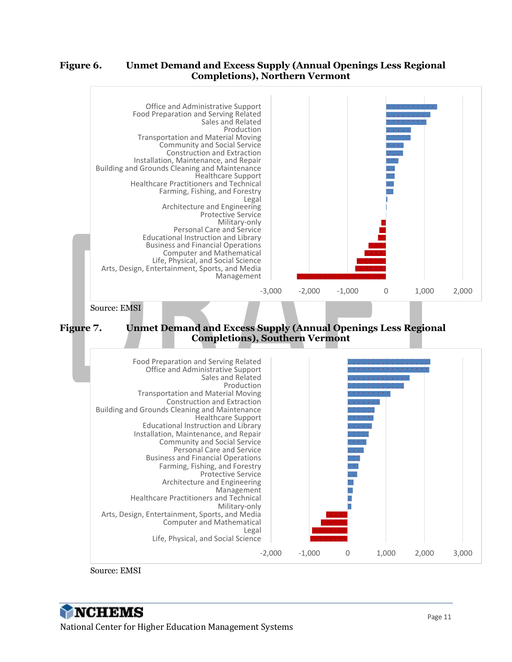#### **Figure 6. Unmet Demand and Excess Supply (Annual Openings Less Regional Completions), Northern Vermont**

<span id="page-10-0"></span>

Source: EMSI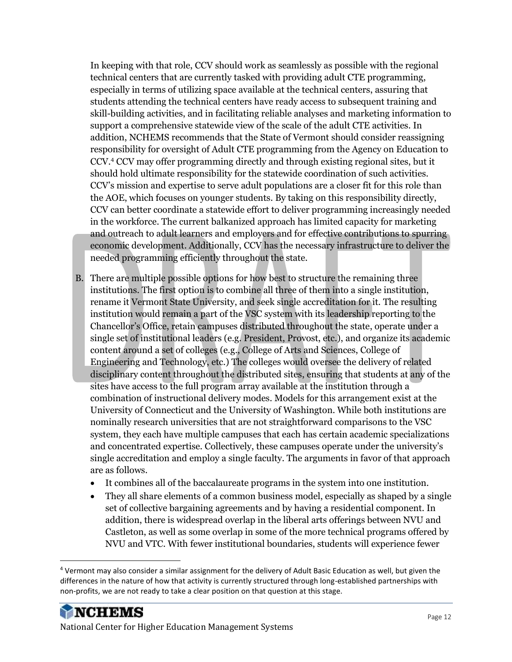In keeping with that role, CCV should work as seamlessly as possible with the regional technical centers that are currently tasked with providing adult CTE programming, especially in terms of utilizing space available at the technical centers, assuring that students attending the technical centers have ready access to subsequent training and skill-building activities, and in facilitating reliable analyses and marketing information to support a comprehensive statewide view of the scale of the adult CTE activities. In addition, NCHEMS recommends that the State of Vermont should consider reassigning responsibility for oversight of Adult CTE programming from the Agency on Education to CCV.<sup>4</sup> CCV may offer programming directly and through existing regional sites, but it should hold ultimate responsibility for the statewide coordination of such activities. CCV's mission and expertise to serve adult populations are a closer fit for this role than the AOE, which focuses on younger students. By taking on this responsibility directly, CCV can better coordinate a statewide effort to deliver programming increasingly needed in the workforce. The current balkanized approach has limited capacity for marketing and outreach to adult learners and employers and for effective contributions to spurring economic development. Additionally, CCV has the necessary infrastructure to deliver the needed programming efficiently throughout the state.

- B. There are multiple possible options for how best to structure the remaining three institutions. The first option is to combine all three of them into a single institution, rename it Vermont State University, and seek single accreditation for it. The resulting institution would remain a part of the VSC system with its leadership reporting to the Chancellor's Office, retain campuses distributed throughout the state, operate under a single set of institutional leaders (e.g. President, Provost, etc.), and organize its academic content around a set of colleges (e.g., College of Arts and Sciences, College of Engineering and Technology, etc.) The colleges would oversee the delivery of related disciplinary content throughout the distributed sites, ensuring that students at any of the sites have access to the full program array available at the institution through a combination of instructional delivery modes. Models for this arrangement exist at the University of Connecticut and the University of Washington. While both institutions are nominally research universities that are not straightforward comparisons to the VSC system, they each have multiple campuses that each has certain academic specializations and concentrated expertise. Collectively, these campuses operate under the university's single accreditation and employ a single faculty. The arguments in favor of that approach are as follows.
	- It combines all of the baccalaureate programs in the system into one institution.
	- They all share elements of a common business model, especially as shaped by a single set of collective bargaining agreements and by having a residential component. In addition, there is widespread overlap in the liberal arts offerings between NVU and Castleton, as well as some overlap in some of the more technical programs offered by NVU and VTC. With fewer institutional boundaries, students will experience fewer

<sup>4</sup> Vermont may also consider a similar assignment for the delivery of Adult Basic Education as well, but given the differences in the nature of how that activity is currently structured through long-established partnerships with non-profits, we are not ready to take a clear position on that question at this stage.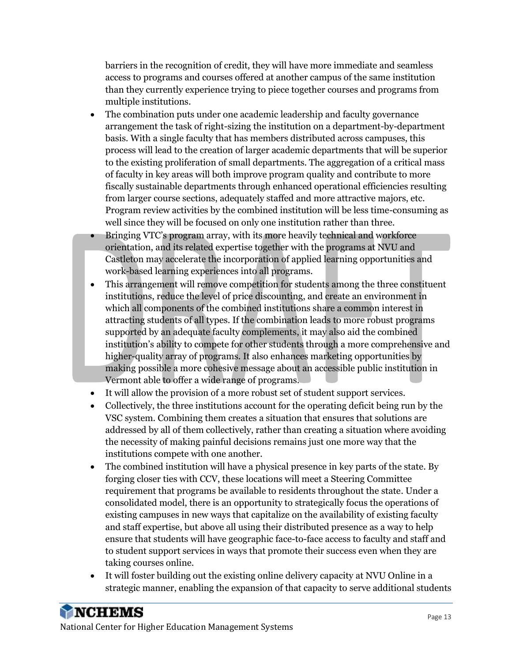barriers in the recognition of credit, they will have more immediate and seamless access to programs and courses offered at another campus of the same institution than they currently experience trying to piece together courses and programs from multiple institutions.

- The combination puts under one academic leadership and faculty governance arrangement the task of right-sizing the institution on a department-by-department basis. With a single faculty that has members distributed across campuses, this process will lead to the creation of larger academic departments that will be superior to the existing proliferation of small departments. The aggregation of a critical mass of faculty in key areas will both improve program quality and contribute to more fiscally sustainable departments through enhanced operational efficiencies resulting from larger course sections, adequately staffed and more attractive majors, etc. Program review activities by the combined institution will be less time-consuming as well since they will be focused on only one institution rather than three.
- Bringing VTC's program array, with its more heavily technical and workforce orientation, and its related expertise together with the programs at NVU and Castleton may accelerate the incorporation of applied learning opportunities and work-based learning experiences into all programs.
- This arrangement will remove competition for students among the three constituent institutions, reduce the level of price discounting, and create an environment in which all components of the combined institutions share a common interest in attracting students of all types. If the combination leads to more robust programs supported by an adequate faculty complements, it may also aid the combined institution's ability to compete for other students through a more comprehensive and higher-quality array of programs. It also enhances marketing opportunities by making possible a more cohesive message about an accessible public institution in Vermont able to offer a wide range of programs.
- It will allow the provision of a more robust set of student support services.
- Collectively, the three institutions account for the operating deficit being run by the VSC system. Combining them creates a situation that ensures that solutions are addressed by all of them collectively, rather than creating a situation where avoiding the necessity of making painful decisions remains just one more way that the institutions compete with one another.
- The combined institution will have a physical presence in key parts of the state. By forging closer ties with CCV, these locations will meet a Steering Committee requirement that programs be available to residents throughout the state. Under a consolidated model, there is an opportunity to strategically focus the operations of existing campuses in new ways that capitalize on the availability of existing faculty and staff expertise, but above all using their distributed presence as a way to help ensure that students will have geographic face-to-face access to faculty and staff and to student support services in ways that promote their success even when they are taking courses online.
- It will foster building out the existing online delivery capacity at NVU Online in a strategic manner, enabling the expansion of that capacity to serve additional students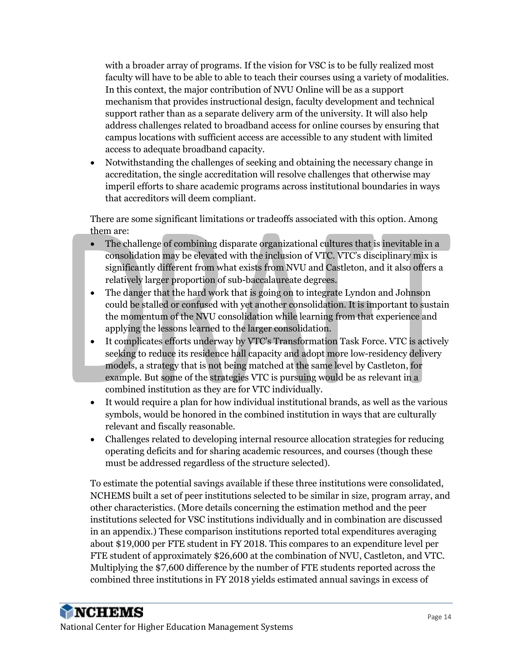with a broader array of programs. If the vision for VSC is to be fully realized most faculty will have to be able to able to teach their courses using a variety of modalities. In this context, the major contribution of NVU Online will be as a support mechanism that provides instructional design, faculty development and technical support rather than as a separate delivery arm of the university. It will also help address challenges related to broadband access for online courses by ensuring that campus locations with sufficient access are accessible to any student with limited access to adequate broadband capacity.

• Notwithstanding the challenges of seeking and obtaining the necessary change in accreditation, the single accreditation will resolve challenges that otherwise may imperil efforts to share academic programs across institutional boundaries in ways that accreditors will deem compliant.

There are some significant limitations or tradeoffs associated with this option. Among them are:

- The challenge of combining disparate organizational cultures that is inevitable in a consolidation may be elevated with the inclusion of VTC. VTC's disciplinary mix is significantly different from what exists from NVU and Castleton, and it also offers a relatively larger proportion of sub-baccalaureate degrees.
- The danger that the hard work that is going on to integrate Lyndon and Johnson could be stalled or confused with yet another consolidation. It is important to sustain the momentum of the NVU consolidation while learning from that experience and applying the lessons learned to the larger consolidation.
- It complicates efforts underway by VTC's Transformation Task Force. VTC is actively seeking to reduce its residence hall capacity and adopt more low-residency delivery models, a strategy that is not being matched at the same level by Castleton, for example. But some of the strategies VTC is pursuing would be as relevant in a combined institution as they are for VTC individually.
- It would require a plan for how individual institutional brands, as well as the various symbols, would be honored in the combined institution in ways that are culturally relevant and fiscally reasonable.
- Challenges related to developing internal resource allocation strategies for reducing operating deficits and for sharing academic resources, and courses (though these must be addressed regardless of the structure selected).

To estimate the potential savings available if these three institutions were consolidated, NCHEMS built a set of peer institutions selected to be similar in size, program array, and other characteristics. (More details concerning the estimation method and the peer institutions selected for VSC institutions individually and in combination are discussed in an appendix.) These comparison institutions reported total expenditures averaging about \$19,000 per FTE student in FY 2018. This compares to an expenditure level per FTE student of approximately \$26,600 at the combination of NVU, Castleton, and VTC. Multiplying the \$7,600 difference by the number of FTE students reported across the combined three institutions in FY 2018 yields estimated annual savings in excess of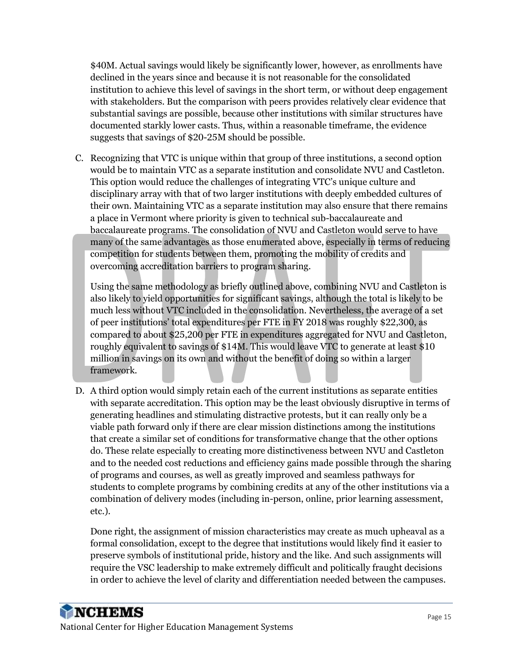\$40M. Actual savings would likely be significantly lower, however, as enrollments have declined in the years since and because it is not reasonable for the consolidated institution to achieve this level of savings in the short term, or without deep engagement with stakeholders. But the comparison with peers provides relatively clear evidence that substantial savings are possible, because other institutions with similar structures have documented starkly lower casts. Thus, within a reasonable timeframe, the evidence suggests that savings of \$20-25M should be possible.

C. Recognizing that VTC is unique within that group of three institutions, a second option would be to maintain VTC as a separate institution and consolidate NVU and Castleton. This option would reduce the challenges of integrating VTC's unique culture and disciplinary array with that of two larger institutions with deeply embedded cultures of their own. Maintaining VTC as a separate institution may also ensure that there remains a place in Vermont where priority is given to technical sub-baccalaureate and baccalaureate programs. The consolidation of NVU and Castleton would serve to have many of the same advantages as those enumerated above, especially in terms of reducing competition for students between them, promoting the mobility of credits and overcoming accreditation barriers to program sharing.

Using the same methodology as briefly outlined above, combining NVU and Castleton is also likely to yield opportunities for significant savings, although the total is likely to be much less without VTC included in the consolidation. Nevertheless, the average of a set of peer institutions' total expenditures per FTE in FY 2018 was roughly \$22,300, as compared to about \$25,200 per FTE in expenditures aggregated for NVU and Castleton, roughly equivalent to savings of \$14M. This would leave VTC to generate at least \$10 million in savings on its own and without the benefit of doing so within a larger framework.

D. A third option would simply retain each of the current institutions as separate entities with separate accreditation. This option may be the least obviously disruptive in terms of generating headlines and stimulating distractive protests, but it can really only be a viable path forward only if there are clear mission distinctions among the institutions that create a similar set of conditions for transformative change that the other options do. These relate especially to creating more distinctiveness between NVU and Castleton and to the needed cost reductions and efficiency gains made possible through the sharing of programs and courses, as well as greatly improved and seamless pathways for students to complete programs by combining credits at any of the other institutions via a combination of delivery modes (including in-person, online, prior learning assessment, etc.).

Done right, the assignment of mission characteristics may create as much upheaval as a formal consolidation, except to the degree that institutions would likely find it easier to preserve symbols of institutional pride, history and the like. And such assignments will require the VSC leadership to make extremely difficult and politically fraught decisions in order to achieve the level of clarity and differentiation needed between the campuses.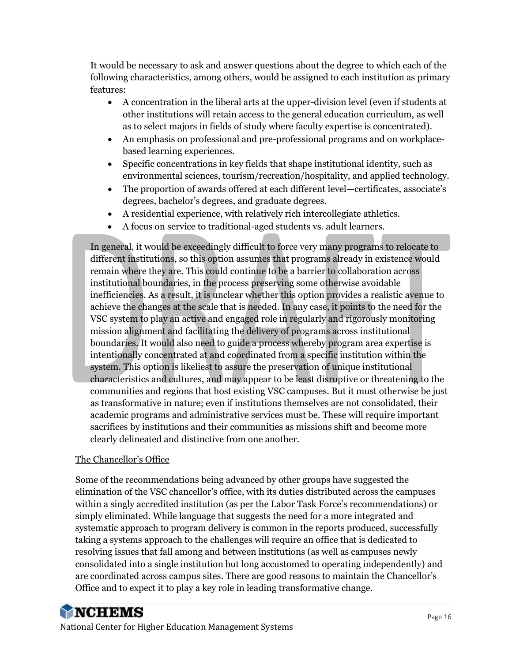It would be necessary to ask and answer questions about the degree to which each of the following characteristics, among others, would be assigned to each institution as primary features:

- A concentration in the liberal arts at the upper-division level (even if students at other institutions will retain access to the general education curriculum, as well as to select majors in fields of study where faculty expertise is concentrated).
- An emphasis on professional and pre-professional programs and on workplacebased learning experiences.
- Specific concentrations in key fields that shape institutional identity, such as environmental sciences, tourism/recreation/hospitality, and applied technology.
- The proportion of awards offered at each different level—certificates, associate's degrees, bachelor's degrees, and graduate degrees.
- A residential experience, with relatively rich intercollegiate athletics.
- A focus on service to traditional-aged students vs. adult learners.

In general, it would be exceedingly difficult to force very many programs to relocate to different institutions, so this option assumes that programs already in existence would remain where they are. This could continue to be a barrier to collaboration across institutional boundaries, in the process preserving some otherwise avoidable inefficiencies. As a result, it is unclear whether this option provides a realistic avenue to achieve the changes at the scale that is needed. In any case, it points to the need for the VSC system to play an active and engaged role in regularly and rigorously monitoring mission alignment and facilitating the delivery of programs across institutional boundaries. It would also need to guide a process whereby program area expertise is intentionally concentrated at and coordinated from a specific institution within the system. This option is likeliest to assure the preservation of unique institutional characteristics and cultures, and may appear to be least disruptive or threatening to the communities and regions that host existing VSC campuses. But it must otherwise be just as transformative in nature; even if institutions themselves are not consolidated, their academic programs and administrative services must be. These will require important sacrifices by institutions and their communities as missions shift and become more clearly delineated and distinctive from one another.

#### The Chancellor's Office

Some of the recommendations being advanced by other groups have suggested the elimination of the VSC chancellor's office, with its duties distributed across the campuses within a singly accredited institution (as per the Labor Task Force's recommendations) or simply eliminated. While language that suggests the need for a more integrated and systematic approach to program delivery is common in the reports produced, successfully taking a systems approach to the challenges will require an office that is dedicated to resolving issues that fall among and between institutions (as well as campuses newly consolidated into a single institution but long accustomed to operating independently) and are coordinated across campus sites. There are good reasons to maintain the Chancellor's Office and to expect it to play a key role in leading transformative change.

# **NCHEMS**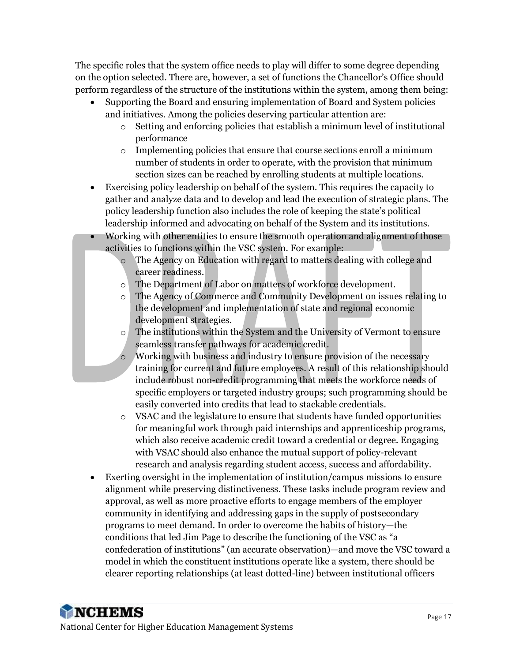The specific roles that the system office needs to play will differ to some degree depending on the option selected. There are, however, a set of functions the Chancellor's Office should perform regardless of the structure of the institutions within the system, among them being:

- Supporting the Board and ensuring implementation of Board and System policies and initiatives. Among the policies deserving particular attention are:
	- o Setting and enforcing policies that establish a minimum level of institutional performance
	- o Implementing policies that ensure that course sections enroll a minimum number of students in order to operate, with the provision that minimum section sizes can be reached by enrolling students at multiple locations.
- Exercising policy leadership on behalf of the system. This requires the capacity to gather and analyze data and to develop and lead the execution of strategic plans. The policy leadership function also includes the role of keeping the state's political leadership informed and advocating on behalf of the System and its institutions.
- Working with other entities to ensure the smooth operation and alignment of those activities to functions within the VSC system. For example:
	- o The Agency on Education with regard to matters dealing with college and career readiness.
	- o The Department of Labor on matters of workforce development.
	- o The Agency of Commerce and Community Development on issues relating to the development and implementation of state and regional economic development strategies.
	- $\circ$  The institutions within the System and the University of Vermont to ensure seamless transfer pathways for academic credit.
	- o Working with business and industry to ensure provision of the necessary training for current and future employees. A result of this relationship should include robust non-credit programming that meets the workforce needs of specific employers or targeted industry groups; such programming should be easily converted into credits that lead to stackable credentials.
	- $\circ$  VSAC and the legislature to ensure that students have funded opportunities for meaningful work through paid internships and apprenticeship programs, which also receive academic credit toward a credential or degree. Engaging with VSAC should also enhance the mutual support of policy-relevant research and analysis regarding student access, success and affordability.
- Exerting oversight in the implementation of institution/campus missions to ensure alignment while preserving distinctiveness. These tasks include program review and approval, as well as more proactive efforts to engage members of the employer community in identifying and addressing gaps in the supply of postsecondary programs to meet demand. In order to overcome the habits of history—the conditions that led Jim Page to describe the functioning of the VSC as "a confederation of institutions" (an accurate observation)—and move the VSC toward a model in which the constituent institutions operate like a system, there should be clearer reporting relationships (at least dotted-line) between institutional officers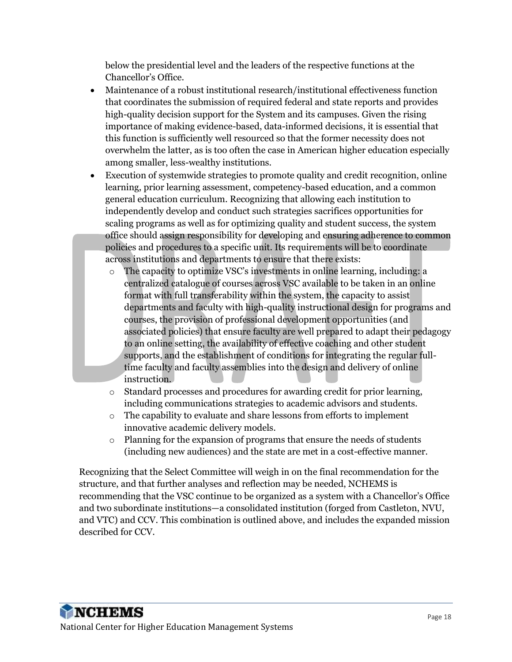below the presidential level and the leaders of the respective functions at the Chancellor's Office.

- Maintenance of a robust institutional research/institutional effectiveness function that coordinates the submission of required federal and state reports and provides high-quality decision support for the System and its campuses. Given the rising importance of making evidence-based, data-informed decisions, it is essential that this function is sufficiently well resourced so that the former necessity does not overwhelm the latter, as is too often the case in American higher education especially among smaller, less-wealthy institutions.
- Execution of systemwide strategies to promote quality and credit recognition, online learning, prior learning assessment, competency-based education, and a common general education curriculum. Recognizing that allowing each institution to independently develop and conduct such strategies sacrifices opportunities for scaling programs as well as for optimizing quality and student success, the system office should assign responsibility for developing and ensuring adherence to common policies and procedures to a specific unit. Its requirements will be to coordinate across institutions and departments to ensure that there exists:
	- o The capacity to optimize VSC's investments in online learning, including: a centralized catalogue of courses across VSC available to be taken in an online format with full transferability within the system, the capacity to assist departments and faculty with high-quality instructional design for programs and courses, the provision of professional development opportunities (and associated policies) that ensure faculty are well prepared to adapt their pedagogy to an online setting, the availability of effective coaching and other student supports, and the establishment of conditions for integrating the regular fulltime faculty and faculty assemblies into the design and delivery of online instruction.
	- o Standard processes and procedures for awarding credit for prior learning, including communications strategies to academic advisors and students.
	- o The capability to evaluate and share lessons from efforts to implement innovative academic delivery models.
	- o Planning for the expansion of programs that ensure the needs of students (including new audiences) and the state are met in a cost-effective manner.

Recognizing that the Select Committee will weigh in on the final recommendation for the structure, and that further analyses and reflection may be needed, NCHEMS is recommending that the VSC continue to be organized as a system with a Chancellor's Office and two subordinate institutions—a consolidated institution (forged from Castleton, NVU, and VTC) and CCV. This combination is outlined above, and includes the expanded mission described for CCV.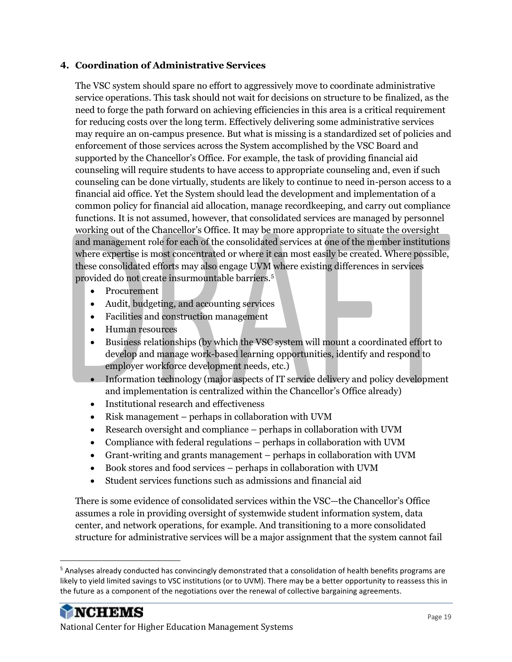#### **4. Coordination of Administrative Services**

The VSC system should spare no effort to aggressively move to coordinate administrative service operations. This task should not wait for decisions on structure to be finalized, as the need to forge the path forward on achieving efficiencies in this area is a critical requirement for reducing costs over the long term. Effectively delivering some administrative services may require an on-campus presence. But what is missing is a standardized set of policies and enforcement of those services across the System accomplished by the VSC Board and supported by the Chancellor's Office. For example, the task of providing financial aid counseling will require students to have access to appropriate counseling and, even if such counseling can be done virtually, students are likely to continue to need in-person access to a financial aid office. Yet the System should lead the development and implementation of a common policy for financial aid allocation, manage recordkeeping, and carry out compliance functions. It is not assumed, however, that consolidated services are managed by personnel working out of the Chancellor's Office. It may be more appropriate to situate the oversight and management role for each of the consolidated services at one of the member institutions where expertise is most concentrated or where it can most easily be created. Where possible, these consolidated efforts may also engage UVM where existing differences in services provided do not create insurmountable barriers.<sup>5</sup>

- Procurement
- Audit, budgeting, and accounting services
- Facilities and construction management
- Human resources
- Business relationships (by which the VSC system will mount a coordinated effort to develop and manage work-based learning opportunities, identify and respond to employer workforce development needs, etc.)
- Information technology (major aspects of IT service delivery and policy development and implementation is centralized within the Chancellor's Office already)
- Institutional research and effectiveness
- Risk management perhaps in collaboration with UVM
- Research oversight and compliance perhaps in collaboration with UVM
- Compliance with federal regulations perhaps in collaboration with UVM
- Grant-writing and grants management perhaps in collaboration with UVM
- Book stores and food services perhaps in collaboration with UVM
- Student services functions such as admissions and financial aid

There is some evidence of consolidated services within the VSC—the Chancellor's Office assumes a role in providing oversight of systemwide student information system, data center, and network operations, for example. And transitioning to a more consolidated structure for administrative services will be a major assignment that the system cannot fail

<sup>5</sup> Analyses already conducted has convincingly demonstrated that a consolidation of health benefits programs are likely to yield limited savings to VSC institutions (or to UVM). There may be a better opportunity to reassess this in the future as a component of the negotiations over the renewal of collective bargaining agreements.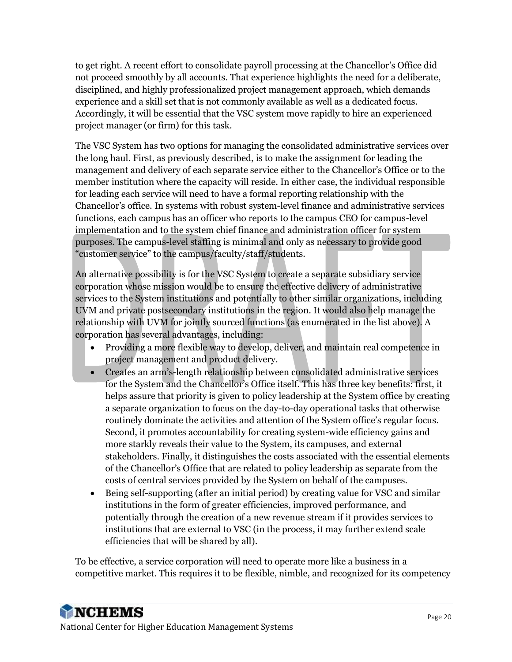to get right. A recent effort to consolidate payroll processing at the Chancellor's Office did not proceed smoothly by all accounts. That experience highlights the need for a deliberate, disciplined, and highly professionalized project management approach, which demands experience and a skill set that is not commonly available as well as a dedicated focus. Accordingly, it will be essential that the VSC system move rapidly to hire an experienced project manager (or firm) for this task.

The VSC System has two options for managing the consolidated administrative services over the long haul. First, as previously described, is to make the assignment for leading the management and delivery of each separate service either to the Chancellor's Office or to the member institution where the capacity will reside. In either case, the individual responsible for leading each service will need to have a formal reporting relationship with the Chancellor's office. In systems with robust system-level finance and administrative services functions, each campus has an officer who reports to the campus CEO for campus-level implementation and to the system chief finance and administration officer for system purposes. The campus-level staffing is minimal and only as necessary to provide good "customer service" to the campus/faculty/staff/students.

An alternative possibility is for the VSC System to create a separate subsidiary service corporation whose mission would be to ensure the effective delivery of administrative services to the System institutions and potentially to other similar organizations, including UVM and private postsecondary institutions in the region. It would also help manage the relationship with UVM for jointly sourced functions (as enumerated in the list above). A corporation has several advantages, including:

- Providing a more flexible way to develop, deliver, and maintain real competence in project management and product delivery.
- Creates an arm's-length relationship between consolidated administrative services for the System and the Chancellor's Office itself. This has three key benefits: first, it helps assure that priority is given to policy leadership at the System office by creating a separate organization to focus on the day-to-day operational tasks that otherwise routinely dominate the activities and attention of the System office's regular focus. Second, it promotes accountability for creating system-wide efficiency gains and more starkly reveals their value to the System, its campuses, and external stakeholders. Finally, it distinguishes the costs associated with the essential elements of the Chancellor's Office that are related to policy leadership as separate from the costs of central services provided by the System on behalf of the campuses.
- Being self-supporting (after an initial period) by creating value for VSC and similar institutions in the form of greater efficiencies, improved performance, and potentially through the creation of a new revenue stream if it provides services to institutions that are external to VSC (in the process, it may further extend scale efficiencies that will be shared by all).

To be effective, a service corporation will need to operate more like a business in a competitive market. This requires it to be flexible, nimble, and recognized for its competency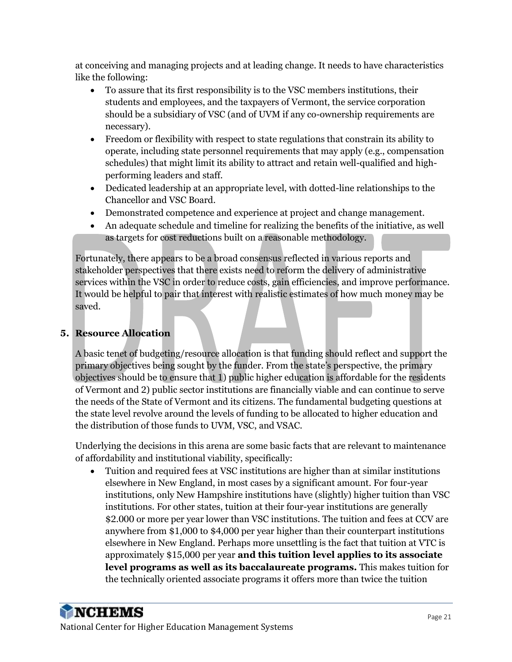at conceiving and managing projects and at leading change. It needs to have characteristics like the following:

- To assure that its first responsibility is to the VSC members institutions, their students and employees, and the taxpayers of Vermont, the service corporation should be a subsidiary of VSC (and of UVM if any co-ownership requirements are necessary).
- Freedom or flexibility with respect to state regulations that constrain its ability to operate, including state personnel requirements that may apply (e.g., compensation schedules) that might limit its ability to attract and retain well-qualified and highperforming leaders and staff.
- Dedicated leadership at an appropriate level, with dotted-line relationships to the Chancellor and VSC Board.
- Demonstrated competence and experience at project and change management.
- An adequate schedule and timeline for realizing the benefits of the initiative, as well as targets for cost reductions built on a reasonable methodology.

Fortunately, there appears to be a broad consensus reflected in various reports and stakeholder perspectives that there exists need to reform the delivery of administrative services within the VSC in order to reduce costs, gain efficiencies, and improve performance. It would be helpful to pair that interest with realistic estimates of how much money may be saved.

#### **5. Resource Allocation**

A basic tenet of budgeting/resource allocation is that funding should reflect and support the primary objectives being sought by the funder. From the state's perspective, the primary objectives should be to ensure that 1) public higher education is affordable for the residents of Vermont and 2) public sector institutions are financially viable and can continue to serve the needs of the State of Vermont and its citizens. The fundamental budgeting questions at the state level revolve around the levels of funding to be allocated to higher education and the distribution of those funds to UVM, VSC, and VSAC.

Underlying the decisions in this arena are some basic facts that are relevant to maintenance of affordability and institutional viability, specifically:

• Tuition and required fees at VSC institutions are higher than at similar institutions elsewhere in New England, in most cases by a significant amount. For four-year institutions, only New Hampshire institutions have (slightly) higher tuition than VSC institutions. For other states, tuition at their four-year institutions are generally \$2.000 or more per year lower than VSC institutions. The tuition and fees at CCV are anywhere from \$1,000 to \$4,000 per year higher than their counterpart institutions elsewhere in New England. Perhaps more unsettling is the fact that tuition at VTC is approximately \$15,000 per year **and this tuition level applies to its associate level programs as well as its baccalaureate programs.** This makes tuition for the technically oriented associate programs it offers more than twice the tuition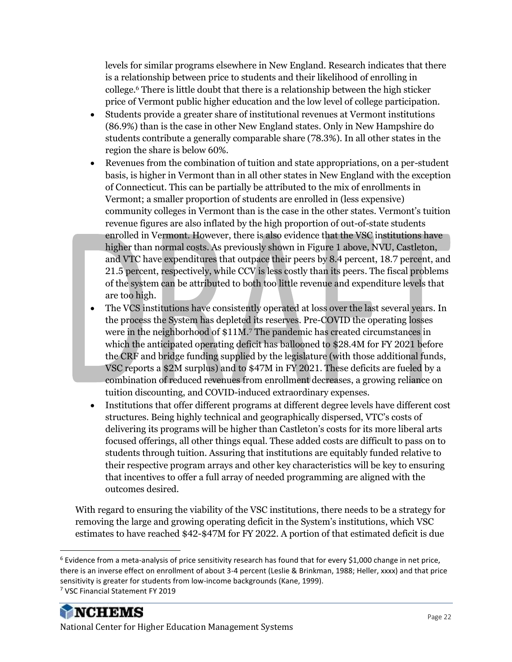levels for similar programs elsewhere in New England. Research indicates that there is a relationship between price to students and their likelihood of enrolling in college.<sup>6</sup> There is little doubt that there is a relationship between the high sticker price of Vermont public higher education and the low level of college participation.

- Students provide a greater share of institutional revenues at Vermont institutions (86.9%) than is the case in other New England states. Only in New Hampshire do students contribute a generally comparable share (78.3%). In all other states in the region the share is below 60%.
- Revenues from the combination of tuition and state appropriations, on a per-student basis, is higher in Vermont than in all other states in New England with the exception of Connecticut. This can be partially be attributed to the mix of enrollments in Vermont; a smaller proportion of students are enrolled in (less expensive) community colleges in Vermont than is the case in the other states. Vermont's tuition revenue figures are also inflated by the high proportion of out-of-state students enrolled in Vermont. However, there is also evidence that the VSC institutions have higher than normal costs. As previously shown in [Figure 1](#page-5-0) above, NVU, Castleton, and VTC have expenditures that outpace their peers by 8.4 percent, 18.7 percent, and 21.5 percent, respectively, while CCV is less costly than its peers. The fiscal problems of the system can be attributed to both too little revenue and expenditure levels that are too high.
- The VCS institutions have consistently operated at loss over the last several years. In the process the System has depleted its reserves. Pre-COVID the operating losses were in the neighborhood of \$11M.<sup>7</sup> The pandemic has created circumstances in which the anticipated operating deficit has ballooned to \$28.4M for FY 2021 before the CRF and bridge funding supplied by the legislature (with those additional funds, VSC reports a \$2M surplus) and to \$47M in FY 2021. These deficits are fueled by a combination of reduced revenues from enrollment decreases, a growing reliance on tuition discounting, and COVID-induced extraordinary expenses.
- Institutions that offer different programs at different degree levels have different cost structures. Being highly technical and geographically dispersed, VTC's costs of delivering its programs will be higher than Castleton's costs for its more liberal arts focused offerings, all other things equal. These added costs are difficult to pass on to students through tuition. Assuring that institutions are equitably funded relative to their respective program arrays and other key characteristics will be key to ensuring that incentives to offer a full array of needed programming are aligned with the outcomes desired.

With regard to ensuring the viability of the VSC institutions, there needs to be a strategy for removing the large and growing operating deficit in the System's institutions, which VSC estimates to have reached \$42-\$47M for FY 2022. A portion of that estimated deficit is due

 $6$  Evidence from a meta-analysis of price sensitivity research has found that for every \$1,000 change in net price, there is an inverse effect on enrollment of about 3-4 percent (Leslie & Brinkman, 1988; Heller, xxxx) and that price sensitivity is greater for students from low-income backgrounds (Kane, 1999). <sup>7</sup> VSC Financial Statement FY 2019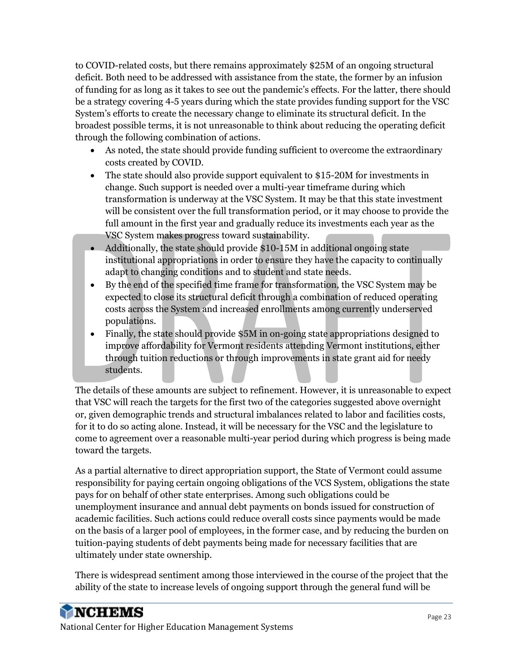to COVID-related costs, but there remains approximately \$25M of an ongoing structural deficit. Both need to be addressed with assistance from the state, the former by an infusion of funding for as long as it takes to see out the pandemic's effects. For the latter, there should be a strategy covering 4-5 years during which the state provides funding support for the VSC System's efforts to create the necessary change to eliminate its structural deficit. In the broadest possible terms, it is not unreasonable to think about reducing the operating deficit through the following combination of actions.

- As noted, the state should provide funding sufficient to overcome the extraordinary costs created by COVID.
- The state should also provide support equivalent to \$15-20M for investments in change. Such support is needed over a multi-year timeframe during which transformation is underway at the VSC System. It may be that this state investment will be consistent over the full transformation period, or it may choose to provide the full amount in the first year and gradually reduce its investments each year as the VSC System makes progress toward sustainability.
- Additionally, the state should provide \$10-15M in additional ongoing state institutional appropriations in order to ensure they have the capacity to continually adapt to changing conditions and to student and state needs.
- By the end of the specified time frame for transformation, the VSC System may be expected to close its structural deficit through a combination of reduced operating costs across the System and increased enrollments among currently underserved populations.
- Finally, the state should provide \$5M in on-going state appropriations designed to improve affordability for Vermont residents attending Vermont institutions, either through tuition reductions or through improvements in state grant aid for needy students.

The details of these amounts are subject to refinement. However, it is unreasonable to expect that VSC will reach the targets for the first two of the categories suggested above overnight or, given demographic trends and structural imbalances related to labor and facilities costs, for it to do so acting alone. Instead, it will be necessary for the VSC and the legislature to come to agreement over a reasonable multi-year period during which progress is being made toward the targets.

As a partial alternative to direct appropriation support, the State of Vermont could assume responsibility for paying certain ongoing obligations of the VCS System, obligations the state pays for on behalf of other state enterprises. Among such obligations could be unemployment insurance and annual debt payments on bonds issued for construction of academic facilities. Such actions could reduce overall costs since payments would be made on the basis of a larger pool of employees, in the former case, and by reducing the burden on tuition-paying students of debt payments being made for necessary facilities that are ultimately under state ownership.

There is widespread sentiment among those interviewed in the course of the project that the ability of the state to increase levels of ongoing support through the general fund will be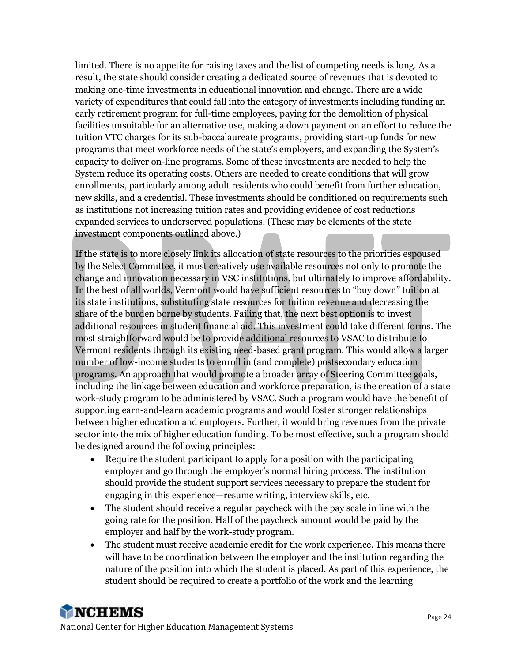limited. There is no appetite for raising taxes and the list of competing needs is long. As a result, the state should consider creating a dedicated source of revenues that is devoted to making one-time investments in educational innovation and change. There are a wide variety of expenditures that could fall into the category of investments including funding an early retirement program for full-time employees, paying for the demolition of physical facilities unsuitable for an alternative use, making a down payment on an effort to reduce the tuition VTC charges for its sub-baccalaureate programs, providing start-up funds for new programs that meet workforce needs of the state's employers, and expanding the System's capacity to deliver on-line programs. Some of these investments are needed to help the System reduce its operating costs. Others are needed to create conditions that will grow enrollments, particularly among adult residents who could benefit from further education, new skills, and a credential. These investments should be conditioned on requirements such as institutions not increasing tuition rates and providing evidence of cost reductions expanded services to underserved populations. (These may be elements of the state investment components outlined above.)

If the state is to more closely link its allocation of state resources to the priorities espoused by the Select Committee, it must creatively use available resources not only to promote the change and innovation necessary in VSC institutions, but ultimately to improve affordability. In the best of all worlds, Vermont would have sufficient resources to "buy down" tuition at its state institutions, substituting state resources for tuition revenue and decreasing the share of the burden borne by students. Failing that, the next best option is to invest additional resources in student financial aid. This investment could take different forms. The most straightforward would be to provide additional resources to VSAC to distribute to Vermont residents through its existing need-based grant program. This would allow a larger number of low-income students to enroll in (and complete) postsecondary education programs. An approach that would promote a broader array of Steering Committee goals, including the linkage between education and workforce preparation, is the creation of a state work-study program to be administered by VSAC. Such a program would have the benefit of supporting earn-and-learn academic programs and would foster stronger relationships between higher education and employers. Further, it would bring revenues from the private sector into the mix of higher education funding. To be most effective, such a program should be designed around the following principles:

- Require the student participant to apply for a position with the participating employer and go through the employer's normal hiring process. The institution should provide the student support services necessary to prepare the student for engaging in this experience—resume writing, interview skills, etc.
- The student should receive a regular paycheck with the pay scale in line with the going rate for the position. Half of the paycheck amount would be paid by the employer and half by the work-study program.
- The student must receive academic credit for the work experience. This means there will have to be coordination between the employer and the institution regarding the nature of the position into which the student is placed. As part of this experience, the student should be required to create a portfolio of the work and the learning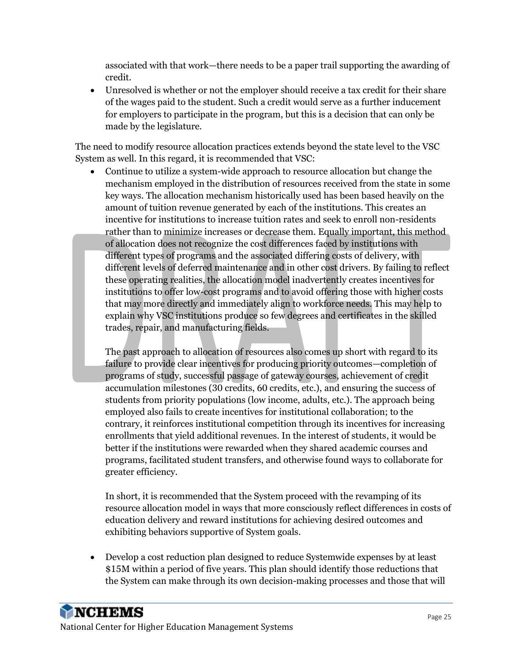associated with that work—there needs to be a paper trail supporting the awarding of credit.

• Unresolved is whether or not the employer should receive a tax credit for their share of the wages paid to the student. Such a credit would serve as a further inducement for employers to participate in the program, but this is a decision that can only be made by the legislature.

The need to modify resource allocation practices extends beyond the state level to the VSC System as well. In this regard, it is recommended that VSC:

• Continue to utilize a system-wide approach to resource allocation but change the mechanism employed in the distribution of resources received from the state in some key ways. The allocation mechanism historically used has been based heavily on the amount of tuition revenue generated by each of the institutions. This creates an incentive for institutions to increase tuition rates and seek to enroll non-residents rather than to minimize increases or decrease them. Equally important, this method of allocation does not recognize the cost differences faced by institutions with different types of programs and the associated differing costs of delivery, with different levels of deferred maintenance and in other cost drivers. By failing to reflect these operating realities, the allocation model inadvertently creates incentives for institutions to offer low-cost programs and to avoid offering those with higher costs that may more directly and immediately align to workforce needs. This may help to explain why VSC institutions produce so few degrees and certificates in the skilled trades, repair, and manufacturing fields.

The past approach to allocation of resources also comes up short with regard to its failure to provide clear incentives for producing priority outcomes—completion of programs of study, successful passage of gateway courses, achievement of credit accumulation milestones (30 credits, 60 credits, etc.), and ensuring the success of students from priority populations (low income, adults, etc.). The approach being employed also fails to create incentives for institutional collaboration; to the contrary, it reinforces institutional competition through its incentives for increasing enrollments that yield additional revenues. In the interest of students, it would be better if the institutions were rewarded when they shared academic courses and programs, facilitated student transfers, and otherwise found ways to collaborate for greater efficiency.

In short, it is recommended that the System proceed with the revamping of its resource allocation model in ways that more consciously reflect differences in costs of education delivery and reward institutions for achieving desired outcomes and exhibiting behaviors supportive of System goals.

• Develop a cost reduction plan designed to reduce Systemwide expenses by at least \$15M within a period of five years. This plan should identify those reductions that the System can make through its own decision-making processes and those that will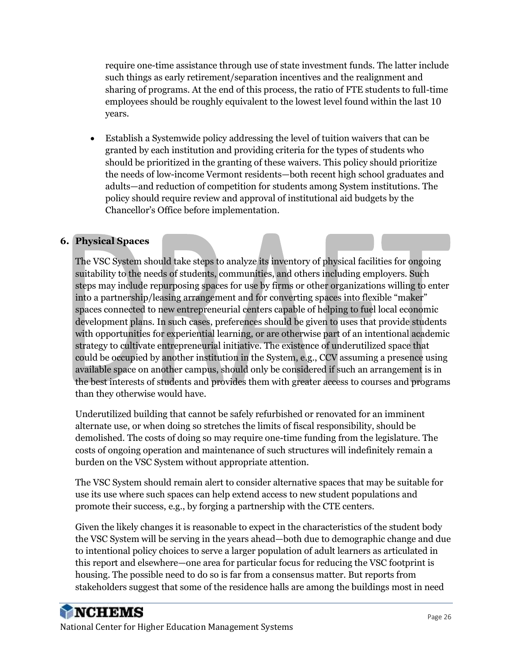require one-time assistance through use of state investment funds. The latter include such things as early retirement/separation incentives and the realignment and sharing of programs. At the end of this process, the ratio of FTE students to full-time employees should be roughly equivalent to the lowest level found within the last 10 years.

• Establish a Systemwide policy addressing the level of tuition waivers that can be granted by each institution and providing criteria for the types of students who should be prioritized in the granting of these waivers. This policy should prioritize the needs of low-income Vermont residents—both recent high school graduates and adults—and reduction of competition for students among System institutions. The policy should require review and approval of institutional aid budgets by the Chancellor's Office before implementation.

#### **6. Physical Spaces**

The VSC System should take steps to analyze its inventory of physical facilities for ongoing suitability to the needs of students, communities, and others including employers. Such steps may include repurposing spaces for use by firms or other organizations willing to enter into a partnership/leasing arrangement and for converting spaces into flexible "maker" spaces connected to new entrepreneurial centers capable of helping to fuel local economic development plans. In such cases, preferences should be given to uses that provide students with opportunities for experiential learning, or are otherwise part of an intentional academic strategy to cultivate entrepreneurial initiative. The existence of underutilized space that could be occupied by another institution in the System, e.g., CCV assuming a presence using available space on another campus, should only be considered if such an arrangement is in the best interests of students and provides them with greater access to courses and programs than they otherwise would have.

Underutilized building that cannot be safely refurbished or renovated for an imminent alternate use, or when doing so stretches the limits of fiscal responsibility, should be demolished. The costs of doing so may require one-time funding from the legislature. The costs of ongoing operation and maintenance of such structures will indefinitely remain a burden on the VSC System without appropriate attention.

The VSC System should remain alert to consider alternative spaces that may be suitable for use its use where such spaces can help extend access to new student populations and promote their success, e.g., by forging a partnership with the CTE centers.

Given the likely changes it is reasonable to expect in the characteristics of the student body the VSC System will be serving in the years ahead—both due to demographic change and due to intentional policy choices to serve a larger population of adult learners as articulated in this report and elsewhere—one area for particular focus for reducing the VSC footprint is housing. The possible need to do so is far from a consensus matter. But reports from stakeholders suggest that some of the residence halls are among the buildings most in need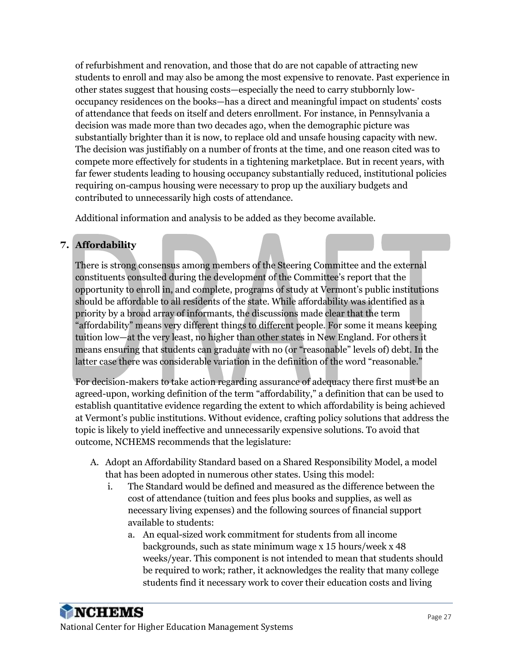of refurbishment and renovation, and those that do are not capable of attracting new students to enroll and may also be among the most expensive to renovate. Past experience in other states suggest that housing costs—especially the need to carry stubbornly lowoccupancy residences on the books—has a direct and meaningful impact on students' costs of attendance that feeds on itself and deters enrollment. For instance, in Pennsylvania a decision was made more than two decades ago, when the demographic picture was substantially brighter than it is now, to replace old and unsafe housing capacity with new. The decision was justifiably on a number of fronts at the time, and one reason cited was to compete more effectively for students in a tightening marketplace. But in recent years, with far fewer students leading to housing occupancy substantially reduced, institutional policies requiring on-campus housing were necessary to prop up the auxiliary budgets and contributed to unnecessarily high costs of attendance.

Additional information and analysis to be added as they become available.

## **7. Affordability**

There is strong consensus among members of the Steering Committee and the external constituents consulted during the development of the Committee's report that the opportunity to enroll in, and complete, programs of study at Vermont's public institutions should be affordable to all residents of the state. While affordability was identified as a priority by a broad array of informants, the discussions made clear that the term "affordability" means very different things to different people. For some it means keeping tuition low—at the very least, no higher than other states in New England. For others it means ensuring that students can graduate with no (or "reasonable" levels of) debt. In the latter case there was considerable variation in the definition of the word "reasonable."

For decision-makers to take action regarding assurance of adequacy there first must be an agreed-upon, working definition of the term "affordability," a definition that can be used to establish quantitative evidence regarding the extent to which affordability is being achieved at Vermont's public institutions. Without evidence, crafting policy solutions that address the topic is likely to yield ineffective and unnecessarily expensive solutions. To avoid that outcome, NCHEMS recommends that the legislature:

- A. Adopt an Affordability Standard based on a Shared Responsibility Model, a model that has been adopted in numerous other states. Using this model:
	- i. The Standard would be defined and measured as the difference between the cost of attendance (tuition and fees plus books and supplies, as well as necessary living expenses) and the following sources of financial support available to students:
		- a. An equal-sized work commitment for students from all income backgrounds, such as state minimum wage x 15 hours/week x 48 weeks/year. This component is not intended to mean that students should be required to work; rather, it acknowledges the reality that many college students find it necessary work to cover their education costs and living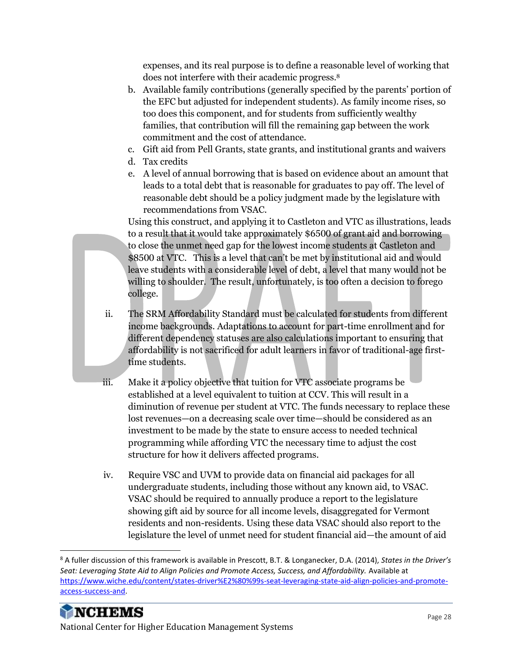expenses, and its real purpose is to define a reasonable level of working that does not interfere with their academic progress.<sup>8</sup>

- b. Available family contributions (generally specified by the parents' portion of the EFC but adjusted for independent students). As family income rises, so too does this component, and for students from sufficiently wealthy families, that contribution will fill the remaining gap between the work commitment and the cost of attendance.
- c. Gift aid from Pell Grants, state grants, and institutional grants and waivers
- d. Tax credits
- e. A level of annual borrowing that is based on evidence about an amount that leads to a total debt that is reasonable for graduates to pay off. The level of reasonable debt should be a policy judgment made by the legislature with recommendations from VSAC.

Using this construct, and applying it to Castleton and VTC as illustrations, leads to a result that it would take approximately \$6500 of grant aid and borrowing to close the unmet need gap for the lowest income students at Castleton and \$8500 at VTC. This is a level that can't be met by institutional aid and would leave students with a considerable level of debt, a level that many would not be willing to shoulder. The result, unfortunately, is too often a decision to forego college.

- ii. The SRM Affordability Standard must be calculated for students from different income backgrounds. Adaptations to account for part-time enrollment and for different dependency statuses are also calculations important to ensuring that affordability is not sacrificed for adult learners in favor of traditional-age firsttime students.
- iii. Make it a policy objective that tuition for VTC associate programs be established at a level equivalent to tuition at CCV. This will result in a diminution of revenue per student at VTC. The funds necessary to replace these lost revenues—on a decreasing scale over time—should be considered as an investment to be made by the state to ensure access to needed technical programming while affording VTC the necessary time to adjust the cost structure for how it delivers affected programs.
- iv. Require VSC and UVM to provide data on financial aid packages for all undergraduate students, including those without any known aid, to VSAC. VSAC should be required to annually produce a report to the legislature showing gift aid by source for all income levels, disaggregated for Vermont residents and non-residents. Using these data VSAC should also report to the legislature the level of unmet need for student financial aid—the amount of aid

<sup>8</sup> A fuller discussion of this framework is available in Prescott, B.T. & Longanecker, D.A. (2014), *States in the Driver's*  Seat: Leveraging State Aid to Align Policies and Promote Access, Success, and Affordability. Available at [https://www.wiche.edu/content/states-driver%E2%80%99s-seat-leveraging-state-aid-align-policies-and-promote](https://www.wiche.edu/content/states-driver%E2%80%99s-seat-leveraging-state-aid-align-policies-and-promote-access-success-and)[access-success-and.](https://www.wiche.edu/content/states-driver%E2%80%99s-seat-leveraging-state-aid-align-policies-and-promote-access-success-and)



National Center for Higher Education Management Systems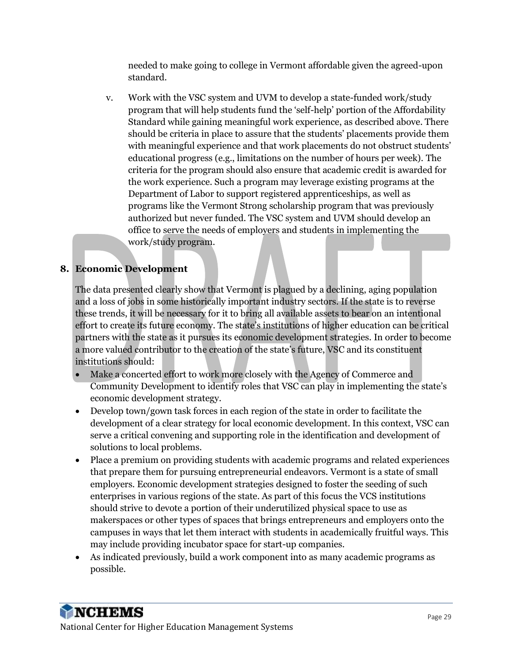needed to make going to college in Vermont affordable given the agreed-upon standard.

v. Work with the VSC system and UVM to develop a state-funded work/study program that will help students fund the 'self-help' portion of the Affordability Standard while gaining meaningful work experience, as described above. There should be criteria in place to assure that the students' placements provide them with meaningful experience and that work placements do not obstruct students' educational progress (e.g., limitations on the number of hours per week). The criteria for the program should also ensure that academic credit is awarded for the work experience. Such a program may leverage existing programs at the Department of Labor to support registered apprenticeships, as well as programs like the Vermont Strong scholarship program that was previously authorized but never funded. The VSC system and UVM should develop an office to serve the needs of employers and students in implementing the work/study program.

### **8. Economic Development**

The data presented clearly show that Vermont is plagued by a declining, aging population and a loss of jobs in some historically important industry sectors. If the state is to reverse these trends, it will be necessary for it to bring all available assets to bear on an intentional effort to create its future economy. The state's institutions of higher education can be critical partners with the state as it pursues its economic development strategies. In order to become a more valued contributor to the creation of the state's future, VSC and its constituent institutions should:

- Make a concerted effort to work more closely with the Agency of Commerce and Community Development to identify roles that VSC can play in implementing the state's economic development strategy.
- Develop town/gown task forces in each region of the state in order to facilitate the development of a clear strategy for local economic development. In this context, VSC can serve a critical convening and supporting role in the identification and development of solutions to local problems.
- Place a premium on providing students with academic programs and related experiences that prepare them for pursuing entrepreneurial endeavors. Vermont is a state of small employers. Economic development strategies designed to foster the seeding of such enterprises in various regions of the state. As part of this focus the VCS institutions should strive to devote a portion of their underutilized physical space to use as makerspaces or other types of spaces that brings entrepreneurs and employers onto the campuses in ways that let them interact with students in academically fruitful ways. This may include providing incubator space for start-up companies.
- As indicated previously, build a work component into as many academic programs as possible.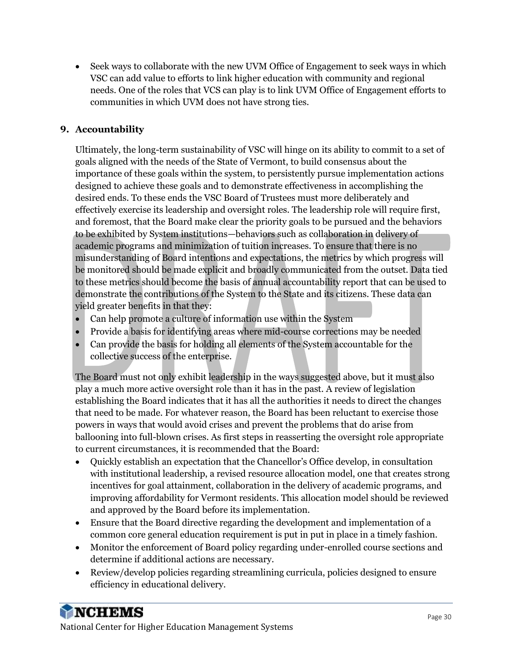• Seek ways to collaborate with the new UVM Office of Engagement to seek ways in which VSC can add value to efforts to link higher education with community and regional needs. One of the roles that VCS can play is to link UVM Office of Engagement efforts to communities in which UVM does not have strong ties.

#### **9. Accountability**

Ultimately, the long-term sustainability of VSC will hinge on its ability to commit to a set of goals aligned with the needs of the State of Vermont, to build consensus about the importance of these goals within the system, to persistently pursue implementation actions designed to achieve these goals and to demonstrate effectiveness in accomplishing the desired ends. To these ends the VSC Board of Trustees must more deliberately and effectively exercise its leadership and oversight roles. The leadership role will require first, and foremost, that the Board make clear the priority goals to be pursued and the behaviors to be exhibited by System institutions—behaviors such as collaboration in delivery of academic programs and minimization of tuition increases. To ensure that there is no misunderstanding of Board intentions and expectations, the metrics by which progress will be monitored should be made explicit and broadly communicated from the outset. Data tied to these metrics should become the basis of annual accountability report that can be used to demonstrate the contributions of the System to the State and its citizens. These data can yield greater benefits in that they:

- Can help promote a culture of information use within the System
- Provide a basis for identifying areas where mid-course corrections may be needed
- Can provide the basis for holding all elements of the System accountable for the collective success of the enterprise.

The Board must not only exhibit leadership in the ways suggested above, but it must also play a much more active oversight role than it has in the past. A review of legislation establishing the Board indicates that it has all the authorities it needs to direct the changes that need to be made. For whatever reason, the Board has been reluctant to exercise those powers in ways that would avoid crises and prevent the problems that do arise from ballooning into full-blown crises. As first steps in reasserting the oversight role appropriate to current circumstances, it is recommended that the Board:

- Quickly establish an expectation that the Chancellor's Office develop, in consultation with institutional leadership, a revised resource allocation model, one that creates strong incentives for goal attainment, collaboration in the delivery of academic programs, and improving affordability for Vermont residents. This allocation model should be reviewed and approved by the Board before its implementation.
- Ensure that the Board directive regarding the development and implementation of a common core general education requirement is put in put in place in a timely fashion.
- Monitor the enforcement of Board policy regarding under-enrolled course sections and determine if additional actions are necessary.
- Review/develop policies regarding streamlining curricula, policies designed to ensure efficiency in educational delivery.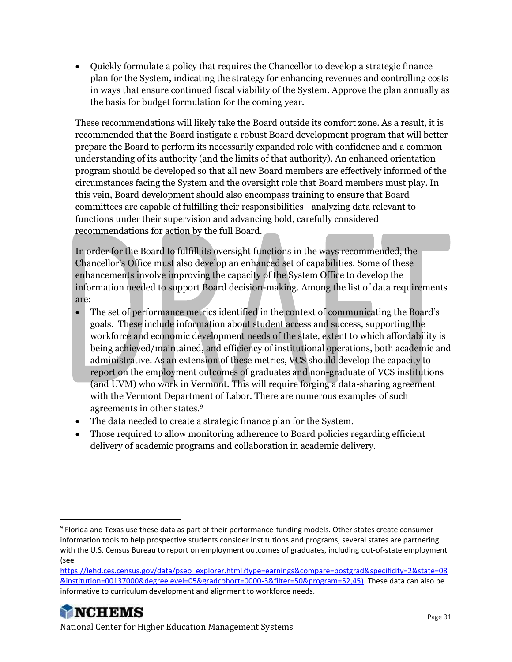• Quickly formulate a policy that requires the Chancellor to develop a strategic finance plan for the System, indicating the strategy for enhancing revenues and controlling costs in ways that ensure continued fiscal viability of the System. Approve the plan annually as the basis for budget formulation for the coming year.

These recommendations will likely take the Board outside its comfort zone. As a result, it is recommended that the Board instigate a robust Board development program that will better prepare the Board to perform its necessarily expanded role with confidence and a common understanding of its authority (and the limits of that authority). An enhanced orientation program should be developed so that all new Board members are effectively informed of the circumstances facing the System and the oversight role that Board members must play. In this vein, Board development should also encompass training to ensure that Board committees are capable of fulfilling their responsibilities—analyzing data relevant to functions under their supervision and advancing bold, carefully considered recommendations for action by the full Board.

In order for the Board to fulfill its oversight functions in the ways recommended, the Chancellor's Office must also develop an enhanced set of capabilities. Some of these enhancements involve improving the capacity of the System Office to develop the information needed to support Board decision-making. Among the list of data requirements are:

- The set of performance metrics identified in the context of communicating the Board's goals. These include information about student access and success, supporting the workforce and economic development needs of the state, extent to which affordability is being achieved/maintained, and efficiency of institutional operations, both academic and administrative. As an extension of these metrics, VCS should develop the capacity to report on the employment outcomes of graduates and non-graduate of VCS institutions (and UVM) who work in Vermont. This will require forging a data-sharing agreement with the Vermont Department of Labor. There are numerous examples of such agreements in other states.<sup>9</sup>
- The data needed to create a strategic finance plan for the System.
- Those required to allow monitoring adherence to Board policies regarding efficient delivery of academic programs and collaboration in academic delivery.

<sup>&</sup>lt;sup>9</sup> Florida and Texas use these data as part of their performance-funding models. Other states create consumer information tools to help prospective students consider institutions and programs; several states are partnering with the U.S. Census Bureau to report on employment outcomes of graduates, including out-of-state employment (see

[https://lehd.ces.census.gov/data/pseo\\_explorer.html?type=earnings&compare=postgrad&specificity=2&state=08](https://lehd.ces.census.gov/data/pseo_explorer.html?type=earnings&compare=postgrad&specificity=2&state=08&institution=00137000°reelevel=05&gradcohort=0000-3&filter=50&program=52,45) [&institution=00137000&degreelevel=05&gradcohort=0000-3&filter=50&program=52,45\)](https://lehd.ces.census.gov/data/pseo_explorer.html?type=earnings&compare=postgrad&specificity=2&state=08&institution=00137000°reelevel=05&gradcohort=0000-3&filter=50&program=52,45). These data can also be informative to curriculum development and alignment to workforce needs.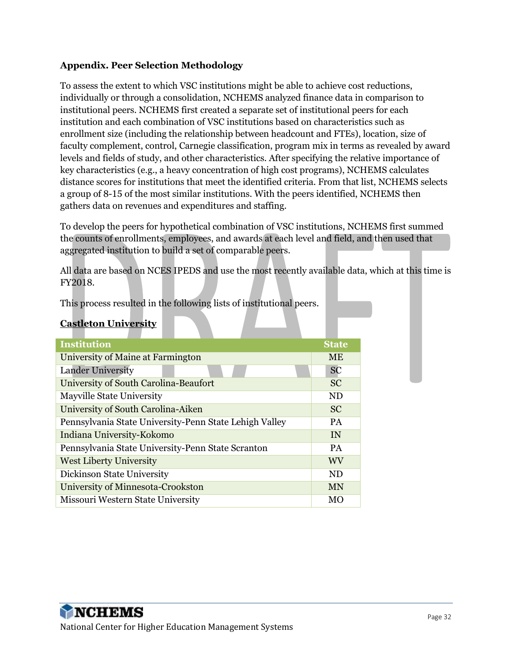#### **Appendix. Peer Selection Methodology**

To assess the extent to which VSC institutions might be able to achieve cost reductions, individually or through a consolidation, NCHEMS analyzed finance data in comparison to institutional peers. NCHEMS first created a separate set of institutional peers for each institution and each combination of VSC institutions based on characteristics such as enrollment size (including the relationship between headcount and FTEs), location, size of faculty complement, control, Carnegie classification, program mix in terms as revealed by award levels and fields of study, and other characteristics. After specifying the relative importance of key characteristics (e.g., a heavy concentration of high cost programs), NCHEMS calculates distance scores for institutions that meet the identified criteria. From that list, NCHEMS selects a group of 8-15 of the most similar institutions. With the peers identified, NCHEMS then gathers data on revenues and expenditures and staffing.

To develop the peers for hypothetical combination of VSC institutions, NCHEMS first summed the counts of enrollments, employees, and awards at each level and field, and then used that aggregated institution to build a set of comparable peers.

All data are based on NCES IPEDS and use the most recently available data, which at this time is FY2018.

This process resulted in the following lists of institutional peers.

#### **Castleton University**

| <b>Institution</b>                                     | <b>State</b>   |
|--------------------------------------------------------|----------------|
| University of Maine at Farmington                      | <b>ME</b>      |
| <b>Lander University</b>                               | <b>SC</b>      |
| University of South Carolina-Beaufort                  | <b>SC</b>      |
| Mayville State University                              | <b>ND</b>      |
| University of South Carolina-Aiken                     | <b>SC</b>      |
| Pennsylvania State University-Penn State Lehigh Valley | <b>PA</b>      |
| Indiana University-Kokomo                              | IN             |
| Pennsylvania State University-Penn State Scranton      | <b>PA</b>      |
| <b>West Liberty University</b>                         | WV             |
| Dickinson State University                             | N <sub>D</sub> |
| University of Minnesota-Crookston                      | <b>MN</b>      |
| Missouri Western State University                      | MО             |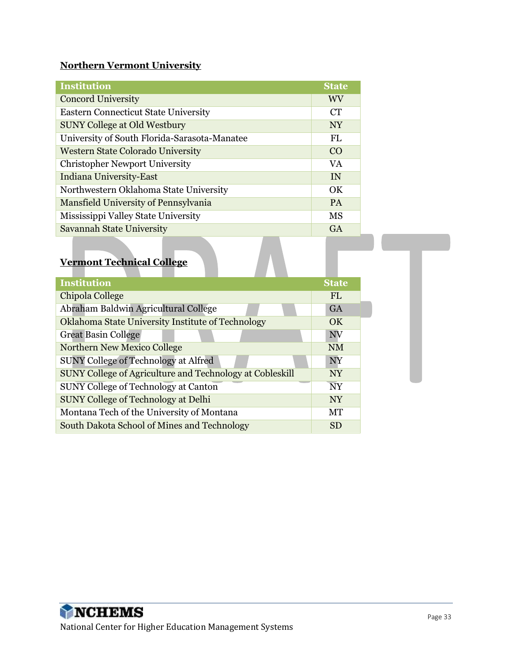#### **Northern Vermont University**

| <b>Institution</b>                           | <b>State</b> |
|----------------------------------------------|--------------|
| <b>Concord University</b>                    | <b>WV</b>    |
| <b>Eastern Connecticut State University</b>  | <b>CT</b>    |
| <b>SUNY College at Old Westbury</b>          | <b>NY</b>    |
| University of South Florida-Sarasota-Manatee | FL.          |
| <b>Western State Colorado University</b>     | CO           |
| <b>Christopher Newport University</b>        | VA.          |
| <b>Indiana University-East</b>               | IN           |
| Northwestern Oklahoma State University       | OK           |
| Mansfield University of Pennsylvania         | <b>PA</b>    |
| Mississippi Valley State University          | <b>MS</b>    |
| <b>Savannah State University</b>             | <b>GA</b>    |

## **Vermont Technical College**

| Institution                                              | <b>State</b>   |
|----------------------------------------------------------|----------------|
| Chipola College                                          | FL.            |
| Abraham Baldwin Agricultural College                     | <b>GA</b>      |
| Oklahoma State University Institute of Technology        | OK.            |
| <b>Great Basin College</b>                               | NV             |
| Northern New Mexico College                              | <b>NM</b>      |
| <b>SUNY College of Technology at Alfred</b>              | NY             |
| SUNY College of Agriculture and Technology at Cobleskill | <b>NY</b>      |
| SUNY College of Technology at Canton                     | N <sub>Y</sub> |
| <b>SUNY College of Technology at Delhi</b>               | <b>NY</b>      |
| Montana Tech of the University of Montana                | МT             |
| South Dakota School of Mines and Technology              | <b>SD</b>      |

a pro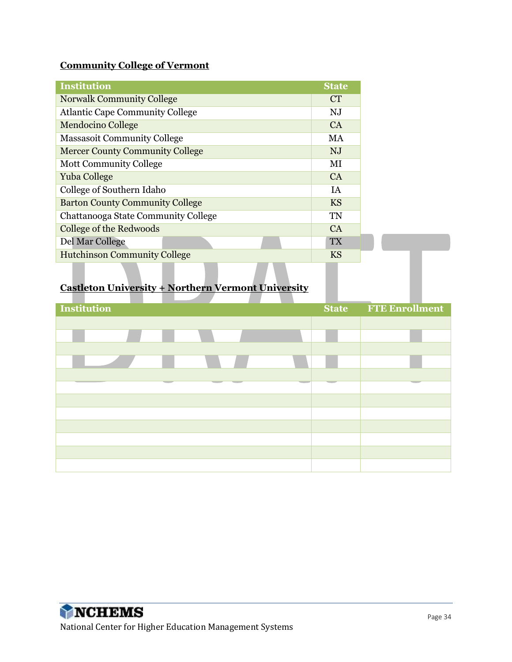### **Community College of Vermont**

| <b>Institution</b>                     | <b>State</b> |
|----------------------------------------|--------------|
| <b>Norwalk Community College</b>       | <b>CT</b>    |
| <b>Atlantic Cape Community College</b> | NJ           |
| <b>Mendocino College</b>               | CA           |
| <b>Massasoit Community College</b>     | MA           |
| <b>Mercer County Community College</b> | NJ           |
| <b>Mott Community College</b>          | МI           |
| Yuba College                           | CA           |
| College of Southern Idaho              | IA           |
| <b>Barton County Community College</b> | <b>KS</b>    |
| Chattanooga State Community College    | <b>TN</b>    |
| College of the Redwoods                | <b>CA</b>    |
| Del Mar College                        | <b>TX</b>    |
| <b>Hutchinson Community College</b>    | <b>KS</b>    |

### **Castleton University + Northern Vermont University**

| <b>Institution</b> |  | _<br><b>State</b> | $\overline{\phantom{a}}$<br><b>FTE Enrollment</b> |
|--------------------|--|-------------------|---------------------------------------------------|
|                    |  |                   |                                                   |
|                    |  |                   |                                                   |
|                    |  |                   |                                                   |
|                    |  |                   |                                                   |
|                    |  |                   |                                                   |
|                    |  |                   |                                                   |
|                    |  |                   |                                                   |
|                    |  |                   |                                                   |
|                    |  |                   |                                                   |
|                    |  |                   |                                                   |
|                    |  |                   |                                                   |
|                    |  |                   |                                                   |